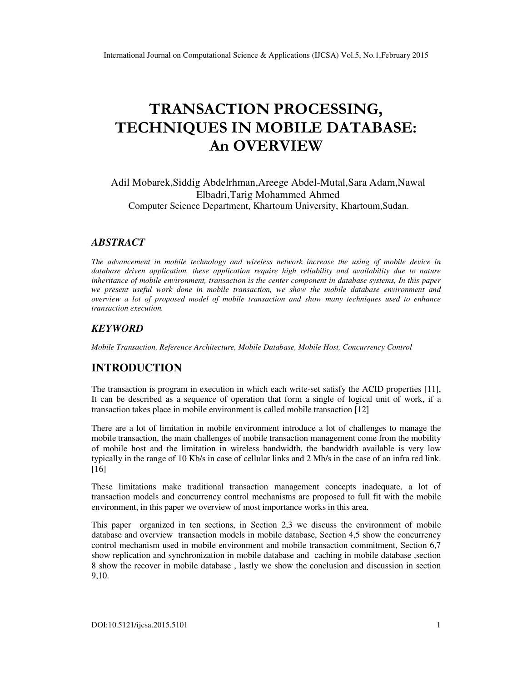# **TRANSACTION PROCESSING, TECHNIQUES IN MOBILE DATABASE: An OVERVIEW**

Adil Mobarek,Siddig Abdelrhman,Areege Abdel-Mutal,Sara Adam,Nawal Elbadri,Tarig Mohammed Ahmed Computer Science Department, Khartoum University, Khartoum,Sudan.

#### *ABSTRACT*

*The advancement in mobile technology and wireless network increase the using of mobile device in database driven application, these application require high reliability and availability due to nature inheritance of mobile environment, transaction is the center component in database systems, In this paper we present useful work done in mobile transaction, we show the mobile database environment and overview a lot of proposed model of mobile transaction and show many techniques used to enhance transaction execution.* 

#### *KEYWORD*

*Mobile Transaction, Reference Architecture, Mobile Database, Mobile Host, Concurrency Control* 

## **INTRODUCTION**

The transaction is program in execution in which each write-set satisfy the ACID properties [11], It can be described as a sequence of operation that form a single of logical unit of work, if a transaction takes place in mobile environment is called mobile transaction [12]

There are a lot of limitation in mobile environment introduce a lot of challenges to manage the mobile transaction, the main challenges of mobile transaction management come from the mobility of mobile host and the limitation in wireless bandwidth, the bandwidth available is very low typically in the range of 10 Kb/s in case of cellular links and 2 Mb/s in the case of an infra red link. [16]

These limitations make traditional transaction management concepts inadequate, a lot of transaction models and concurrency control mechanisms are proposed to full fit with the mobile environment, in this paper we overview of most importance works in this area.

This paper organized in ten sections, in Section 2,3 we discuss the environment of mobile database and overview transaction models in mobile database, Section 4,5 show the concurrency control mechanism used in mobile environment and mobile transaction commitment, Section 6,7 show replication and synchronization in mobile database and caching in mobile database, section 8 show the recover in mobile database , lastly we show the conclusion and discussion in section 9,10.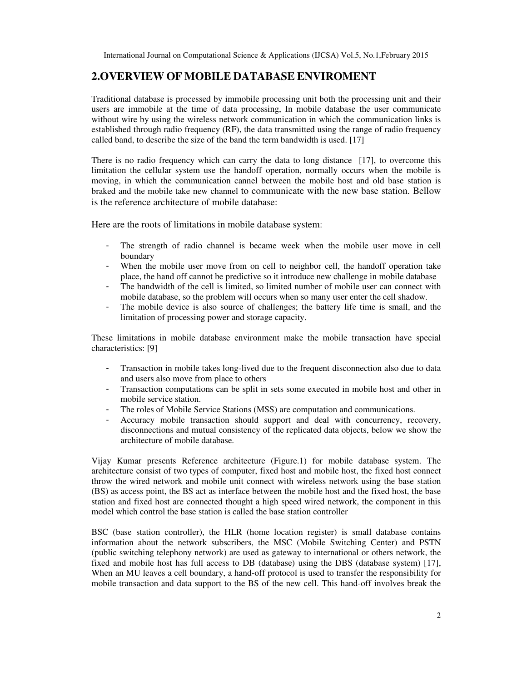# **2.OVERVIEW OF MOBILE DATABASE ENVIROMENT**

Traditional database is processed by immobile processing unit both the processing unit and their users are immobile at the time of data processing, In mobile database the user communicate without wire by using the wireless network communication in which the communication links is established through radio frequency (RF), the data transmitted using the range of radio frequency called band, to describe the size of the band the term bandwidth is used. [17]

There is no radio frequency which can carry the data to long distance [17], to overcome this limitation the cellular system use the handoff operation, normally occurs when the mobile is moving, in which the communication cannel between the mobile host and old base station is braked and the mobile take new channel to communicate with the new base station. Bellow is the reference architecture of mobile database:

Here are the roots of limitations in mobile database system:

- The strength of radio channel is became week when the mobile user move in cell boundary
- When the mobile user move from on cell to neighbor cell, the handoff operation take place, the hand off cannot be predictive so it introduce new challenge in mobile database
- The bandwidth of the cell is limited, so limited number of mobile user can connect with mobile database, so the problem will occurs when so many user enter the cell shadow.
- The mobile device is also source of challenges; the battery life time is small, and the limitation of processing power and storage capacity.

These limitations in mobile database environment make the mobile transaction have special characteristics: [9]

- Transaction in mobile takes long-lived due to the frequent disconnection also due to data and users also move from place to others
- Transaction computations can be split in sets some executed in mobile host and other in mobile service station.
- The roles of Mobile Service Stations (MSS) are computation and communications.
- Accuracy mobile transaction should support and deal with concurrency, recovery, disconnections and mutual consistency of the replicated data objects, below we show the architecture of mobile database.

Vijay Kumar presents Reference architecture (Figure.1) for mobile database system. The architecture consist of two types of computer, fixed host and mobile host, the fixed host connect throw the wired network and mobile unit connect with wireless network using the base station (BS) as access point, the BS act as interface between the mobile host and the fixed host, the base station and fixed host are connected thought a high speed wired network, the component in this model which control the base station is called the base station controller

BSC (base station controller), the HLR (home location register) is small database contains information about the network subscribers, the MSC (Mobile Switching Center) and PSTN (public switching telephony network) are used as gateway to international or others network, the fixed and mobile host has full access to DB (database) using the DBS (database system) [17], When an MU leaves a cell boundary, a hand-off protocol is used to transfer the responsibility for mobile transaction and data support to the BS of the new cell. This hand-off involves break the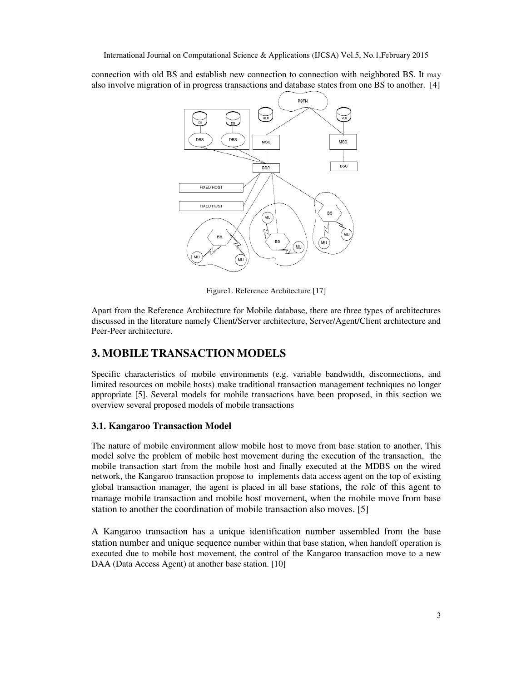connection with old BS and establish new connection to connection with neighbored BS. It may also involve migration of in progress transactions and database states from one BS to another. [4]



Figure1. Reference Architecture [17]

Apart from the Reference Architecture for Mobile database, there are three types of architectures discussed in the literature namely Client/Server architecture, Server/Agent/Client architecture and Peer-Peer architecture.

# **3. MOBILE TRANSACTION MODELS**

Specific characteristics of mobile environments (e.g. variable bandwidth, disconnections, and limited resources on mobile hosts) make traditional transaction management techniques no longer appropriate [5]. Several models for mobile transactions have been proposed, in this section we overview several proposed models of mobile transactions

## **3.1. Kangaroo Transaction Model**

The nature of mobile environment allow mobile host to move from base station to another, This model solve the problem of mobile host movement during the execution of the transaction, the mobile transaction start from the mobile host and finally executed at the MDBS on the wired network, the Kangaroo transaction propose to implements data access agent on the top of existing global transaction manager, the agent is placed in all base stations, the role of this agent to manage mobile transaction and mobile host movement, when the mobile move from base station to another the coordination of mobile transaction also moves. [5]

A Kangaroo transaction has a unique identification number assembled from the base station number and unique sequence number within that base station, when handoff operation is executed due to mobile host movement, the control of the Kangaroo transaction move to a new DAA (Data Access Agent) at another base station. [10]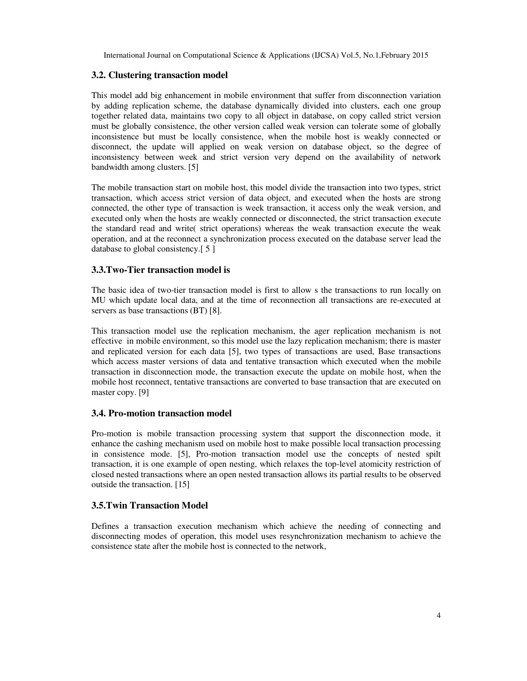#### **3.2. Clustering transaction model**

This model add big enhancement in mobile environment that suffer from disconnection variation by adding replication scheme, the database dynamically divided into clusters, each one group together related data, maintains two copy to all object in database, on copy called strict version must be globally consistence, the other version called weak version can tolerate some of globally inconsistence but must be locally consistence, when the mobile host is weakly connected or disconnect, the update will applied on weak version on database object, so the degree of inconsistency between week and strict version very depend on the availability of network bandwidth among clusters. [5]

The mobile transaction start on mobile host, this model divide the transaction into two types, strict transaction, which access strict version of data object, and executed when the hosts are strong connected, the other type of transaction is week transaction, it access only the weak version, and executed only when the hosts are weakly connected or disconnected, the strict transaction execute the standard read and write( strict operations) whereas the weak transaction execute the weak operation, and at the reconnect a synchronization process executed on the database server lead the database to global consistency.[ 5 ]

#### **3.3.Two-Tier transaction model is**

The basic idea of two-tier transaction model is first to allow s the transactions to run locally on MU which update local data, and at the time of reconnection all transactions are re-executed at servers as base transactions (BT) [8].

This transaction model use the replication mechanism, the ager replication mechanism is not effective in mobile environment, so this model use the lazy replication mechanism; there is master and replicated version for each data [5], two types of transactions are used, Base transactions which access master versions of data and tentative transaction which executed when the mobile transaction in disconnection mode, the transaction execute the update on mobile host, when the mobile host reconnect, tentative transactions are converted to base transaction that are executed on master copy. [9]

#### **3.4. Pro-motion transaction model**

Pro-motion is mobile transaction processing system that support the disconnection mode, it enhance the cashing mechanism used on mobile host to make possible local transaction processing in consistence mode. [5], Pro-motion transaction model use the concepts of nested spilt transaction, it is one example of open nesting, which relaxes the top-level atomicity restriction of closed nested transactions where an open nested transaction allows its partial results to be observed outside the transaction. [15]

## **3.5.Twin Transaction Model**

Defines a transaction execution mechanism which achieve the needing of connecting and disconnecting modes of operation, this model uses resynchronization mechanism to achieve the consistence state after the mobile host is connected to the network,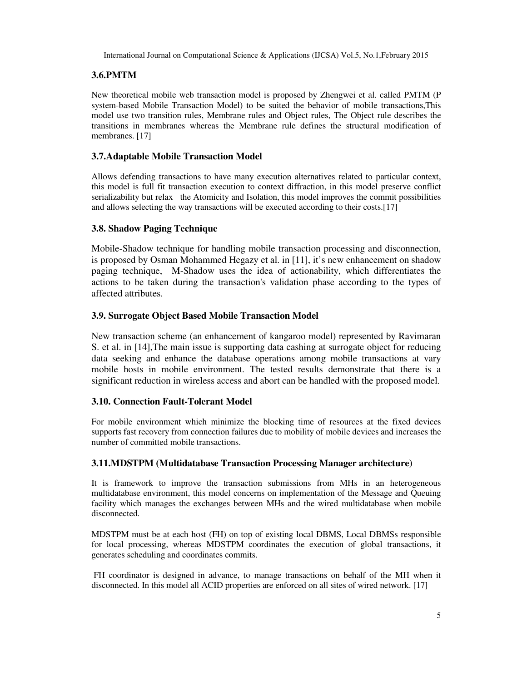## **3.6.PMTM**

New theoretical mobile web transaction model is proposed by Zhengwei et al. called PMTM (P system-based Mobile Transaction Model) to be suited the behavior of mobile transactions,This model use two transition rules, Membrane rules and Object rules, The Object rule describes the transitions in membranes whereas the Membrane rule defines the structural modification of membranes. [17]

## **3.7.Adaptable Mobile Transaction Model**

Allows defending transactions to have many execution alternatives related to particular context, this model is full fit transaction execution to context diffraction, in this model preserve conflict serializability but relax the Atomicity and Isolation, this model improves the commit possibilities and allows selecting the way transactions will be executed according to their costs.[17]

#### **3.8. Shadow Paging Technique**

Mobile-Shadow technique for handling mobile transaction processing and disconnection, is proposed by Osman Mohammed Hegazy et al. in [11], it's new enhancement on shadow paging technique, M-Shadow uses the idea of actionability, which differentiates the actions to be taken during the transaction's validation phase according to the types of affected attributes.

#### **3.9. Surrogate Object Based Mobile Transaction Model**

New transaction scheme (an enhancement of kangaroo model) represented by Ravimaran S. et al. in [14],The main issue is supporting data cashing at surrogate object for reducing data seeking and enhance the database operations among mobile transactions at vary mobile hosts in mobile environment. The tested results demonstrate that there is a significant reduction in wireless access and abort can be handled with the proposed model.

## **3.10. Connection Fault-Tolerant Model**

For mobile environment which minimize the blocking time of resources at the fixed devices supports fast recovery from connection failures due to mobility of mobile devices and increases the number of committed mobile transactions.

#### **3.11.MDSTPM (Multidatabase Transaction Processing Manager architecture)**

It is framework to improve the transaction submissions from MHs in an heterogeneous multidatabase environment, this model concerns on implementation of the Message and Queuing facility which manages the exchanges between MHs and the wired multidatabase when mobile disconnected.

MDSTPM must be at each host (FH) on top of existing local DBMS, Local DBMSs responsible for local processing, whereas MDSTPM coordinates the execution of global transactions, it generates scheduling and coordinates commits.

 FH coordinator is designed in advance, to manage transactions on behalf of the MH when it disconnected. In this model all ACID properties are enforced on all sites of wired network. [17]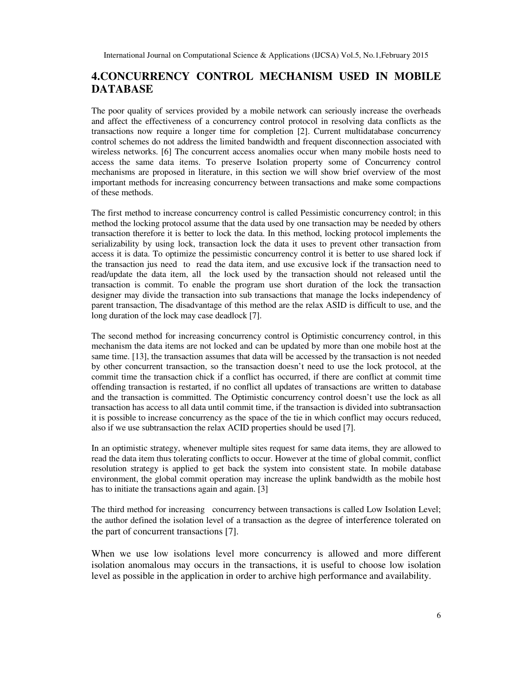# **4.CONCURRENCY CONTROL MECHANISM USED IN MOBILE DATABASE**

The poor quality of services provided by a mobile network can seriously increase the overheads and affect the effectiveness of a concurrency control protocol in resolving data conflicts as the transactions now require a longer time for completion [2]. Current multidatabase concurrency control schemes do not address the limited bandwidth and frequent disconnection associated with wireless networks. [6] The concurrent access anomalies occur when many mobile hosts need to access the same data items. To preserve Isolation property some of Concurrency control mechanisms are proposed in literature, in this section we will show brief overview of the most important methods for increasing concurrency between transactions and make some compactions of these methods.

The first method to increase concurrency control is called Pessimistic concurrency control; in this method the locking protocol assume that the data used by one transaction may be needed by others transaction therefore it is better to lock the data. In this method, locking protocol implements the serializability by using lock, transaction lock the data it uses to prevent other transaction from access it is data. To optimize the pessimistic concurrency control it is better to use shared lock if the transaction jus need to read the data item, and use excusive lock if the transaction need to read/update the data item, all the lock used by the transaction should not released until the transaction is commit. To enable the program use short duration of the lock the transaction designer may divide the transaction into sub transactions that manage the locks independency of parent transaction, The disadvantage of this method are the relax ASID is difficult to use, and the long duration of the lock may case deadlock [7].

The second method for increasing concurrency control is Optimistic concurrency control, in this mechanism the data items are not locked and can be updated by more than one mobile host at the same time. [13], the transaction assumes that data will be accessed by the transaction is not needed by other concurrent transaction, so the transaction doesn't need to use the lock protocol, at the commit time the transaction chick if a conflict has occurred, if there are conflict at commit time offending transaction is restarted, if no conflict all updates of transactions are written to database and the transaction is committed. The Optimistic concurrency control doesn't use the lock as all transaction has access to all data until commit time, if the transaction is divided into subtransaction it is possible to increase concurrency as the space of the tie in which conflict may occurs reduced, also if we use subtransaction the relax ACID properties should be used [7].

In an optimistic strategy, whenever multiple sites request for same data items, they are allowed to read the data item thus tolerating conflicts to occur. However at the time of global commit, conflict resolution strategy is applied to get back the system into consistent state. In mobile database environment, the global commit operation may increase the uplink bandwidth as the mobile host has to initiate the transactions again and again. [3]

The third method for increasing concurrency between transactions is called Low Isolation Level; the author defined the isolation level of a transaction as the degree of interference tolerated on the part of concurrent transactions [7].

When we use low isolations level more concurrency is allowed and more different isolation anomalous may occurs in the transactions, it is useful to choose low isolation level as possible in the application in order to archive high performance and availability.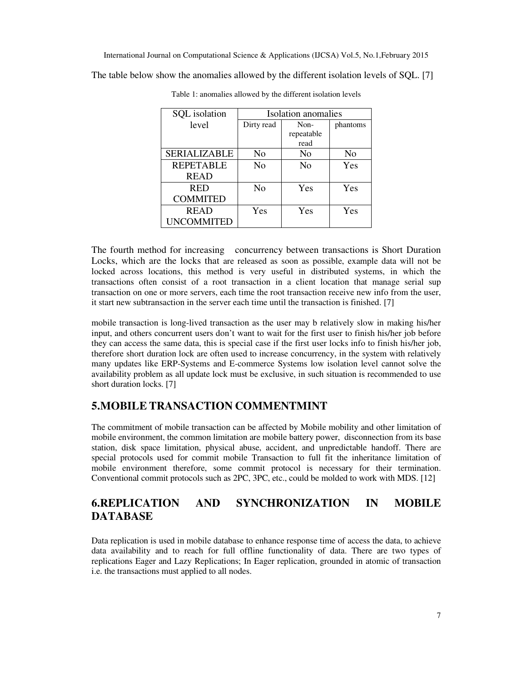The table below show the anomalies allowed by the different isolation levels of SQL. [7]

| SQL isolation       | Isolation anomalies |                |                |
|---------------------|---------------------|----------------|----------------|
| level               | Dirty read          | Non-           | phantoms       |
|                     |                     | repeatable     |                |
|                     |                     | read           |                |
| <b>SERIALIZABLE</b> | No                  | No             | N <sub>0</sub> |
| <b>REPETABLE</b>    | N <sub>0</sub>      | N <sub>0</sub> | Yes            |
| <b>READ</b>         |                     |                |                |
| <b>RED</b>          | No                  | Yes            | Yes            |
| <b>COMMITED</b>     |                     |                |                |
| <b>READ</b>         | Yes                 | Yes            | Yes            |
| <b>UNCOMMITED</b>   |                     |                |                |

Table 1: anomalies allowed by the different isolation levels

The fourth method for increasing concurrency between transactions is Short Duration Locks, which are the locks that are released as soon as possible, example data will not be locked across locations, this method is very useful in distributed systems, in which the transactions often consist of a root transaction in a client location that manage serial sup transaction on one or more servers, each time the root transaction receive new info from the user, it start new subtransaction in the server each time until the transaction is finished. [7]

mobile transaction is long-lived transaction as the user may b relatively slow in making his/her input, and others concurrent users don't want to wait for the first user to finish his/her job before they can access the same data, this is special case if the first user locks info to finish his/her job, therefore short duration lock are often used to increase concurrency, in the system with relatively many updates like ERP-Systems and E-commerce Systems low isolation level cannot solve the availability problem as all update lock must be exclusive, in such situation is recommended to use short duration locks. [7]

# **5.MOBILE TRANSACTION COMMENTMINT**

The commitment of mobile transaction can be affected by Mobile mobility and other limitation of mobile environment, the common limitation are mobile battery power, disconnection from its base station, disk space limitation, physical abuse, accident, and unpredictable handoff. There are special protocols used for commit mobile Transaction to full fit the inheritance limitation of mobile environment therefore, some commit protocol is necessary for their termination. Conventional commit protocols such as 2PC, 3PC, etc., could be molded to work with MDS. [12]

# **6.REPLICATION AND SYNCHRONIZATION IN MOBILE DATABASE**

Data replication is used in mobile database to enhance response time of access the data, to achieve data availability and to reach for full offline functionality of data. There are two types of replications Eager and Lazy Replications; In Eager replication, grounded in atomic of transaction i.e. the transactions must applied to all nodes.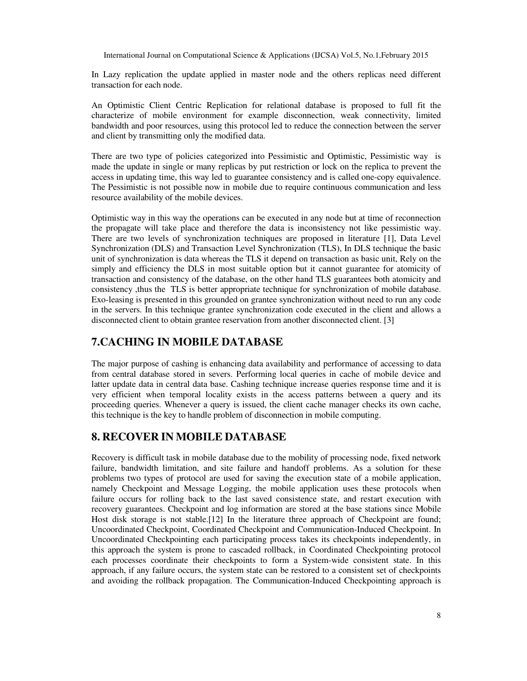In Lazy replication the update applied in master node and the others replicas need different transaction for each node.

An Optimistic Client Centric Replication for relational database is proposed to full fit the characterize of mobile environment for example disconnection, weak connectivity, limited bandwidth and poor resources, using this protocol led to reduce the connection between the server and client by transmitting only the modified data.

There are two type of policies categorized into Pessimistic and Optimistic, Pessimistic way is made the update in single or many replicas by put restriction or lock on the replica to prevent the access in updating time, this way led to guarantee consistency and is called one-copy equivalence. The Pessimistic is not possible now in mobile due to require continuous communication and less resource availability of the mobile devices.

Optimistic way in this way the operations can be executed in any node but at time of reconnection the propagate will take place and therefore the data is inconsistency not like pessimistic way. There are two levels of synchronization techniques are proposed in literature [1], Data Level Synchronization (DLS) and Transaction Level Synchronization (TLS), In DLS technique the basic unit of synchronization is data whereas the TLS it depend on transaction as basic unit, Rely on the simply and efficiency the DLS in most suitable option but it cannot guarantee for atomicity of transaction and consistency of the database, on the other hand TLS guarantees both atomicity and consistency ,thus the TLS is better appropriate technique for synchronization of mobile database. Exo-leasing is presented in this grounded on grantee synchronization without need to run any code in the servers. In this technique grantee synchronization code executed in the client and allows a disconnected client to obtain grantee reservation from another disconnected client. [3]

# **7.CACHING IN MOBILE DATABASE**

The major purpose of cashing is enhancing data availability and performance of accessing to data from central database stored in severs. Performing local queries in cache of mobile device and latter update data in central data base. Cashing technique increase queries response time and it is very efficient when temporal locality exists in the access patterns between a query and its proceeding queries. Whenever a query is issued, the client cache manager checks its own cache, this technique is the key to handle problem of disconnection in mobile computing.

## **8. RECOVER IN MOBILE DATABASE**

Recovery is difficult task in mobile database due to the mobility of processing node, fixed network failure, bandwidth limitation, and site failure and handoff problems. As a solution for these problems two types of protocol are used for saving the execution state of a mobile application, namely Checkpoint and Message Logging, the mobile application uses these protocols when failure occurs for rolling back to the last saved consistence state, and restart execution with recovery guarantees. Checkpoint and log information are stored at the base stations since Mobile Host disk storage is not stable.[12] In the literature three approach of Checkpoint are found; Uncoordinated Checkpoint, Coordinated Checkpoint and Communication-Induced Checkpoint. In Uncoordinated Checkpointing each participating process takes its checkpoints independently, in this approach the system is prone to cascaded rollback, in Coordinated Checkpointing protocol each processes coordinate their checkpoints to form a System-wide consistent state. In this approach, if any failure occurs, the system state can be restored to a consistent set of checkpoints and avoiding the rollback propagation. The Communication-Induced Checkpointing approach is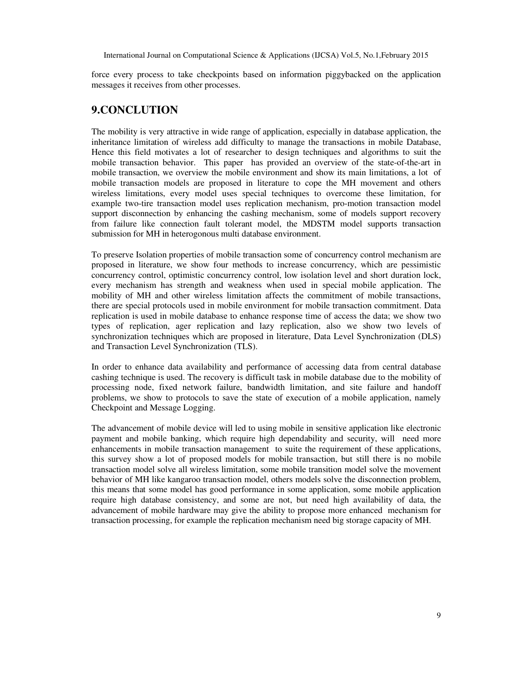force every process to take checkpoints based on information piggybacked on the application messages it receives from other processes.

# **9.CONCLUTION**

The mobility is very attractive in wide range of application, especially in database application, the inheritance limitation of wireless add difficulty to manage the transactions in mobile Database, Hence this field motivates a lot of researcher to design techniques and algorithms to suit the mobile transaction behavior. This paper has provided an overview of the state-of-the-art in mobile transaction, we overview the mobile environment and show its main limitations, a lot of mobile transaction models are proposed in literature to cope the MH movement and others wireless limitations, every model uses special techniques to overcome these limitation, for example two-tire transaction model uses replication mechanism, pro-motion transaction model support disconnection by enhancing the cashing mechanism, some of models support recovery from failure like connection fault tolerant model, the MDSTM model supports transaction submission for MH in heterogonous multi database environment.

To preserve Isolation properties of mobile transaction some of concurrency control mechanism are proposed in literature, we show four methods to increase concurrency, which are pessimistic concurrency control, optimistic concurrency control, low isolation level and short duration lock, every mechanism has strength and weakness when used in special mobile application. The mobility of MH and other wireless limitation affects the commitment of mobile transactions, there are special protocols used in mobile environment for mobile transaction commitment. Data replication is used in mobile database to enhance response time of access the data; we show two types of replication, ager replication and lazy replication, also we show two levels of synchronization techniques which are proposed in literature, Data Level Synchronization (DLS) and Transaction Level Synchronization (TLS).

In order to enhance data availability and performance of accessing data from central database cashing technique is used. The recovery is difficult task in mobile database due to the mobility of processing node, fixed network failure, bandwidth limitation, and site failure and handoff problems, we show to protocols to save the state of execution of a mobile application, namely Checkpoint and Message Logging.

The advancement of mobile device will led to using mobile in sensitive application like electronic payment and mobile banking, which require high dependability and security, will need more enhancements in mobile transaction management to suite the requirement of these applications, this survey show a lot of proposed models for mobile transaction, but still there is no mobile transaction model solve all wireless limitation, some mobile transition model solve the movement behavior of MH like kangaroo transaction model, others models solve the disconnection problem, this means that some model has good performance in some application, some mobile application require high database consistency, and some are not, but need high availability of data, the advancement of mobile hardware may give the ability to propose more enhanced mechanism for transaction processing, for example the replication mechanism need big storage capacity of MH.